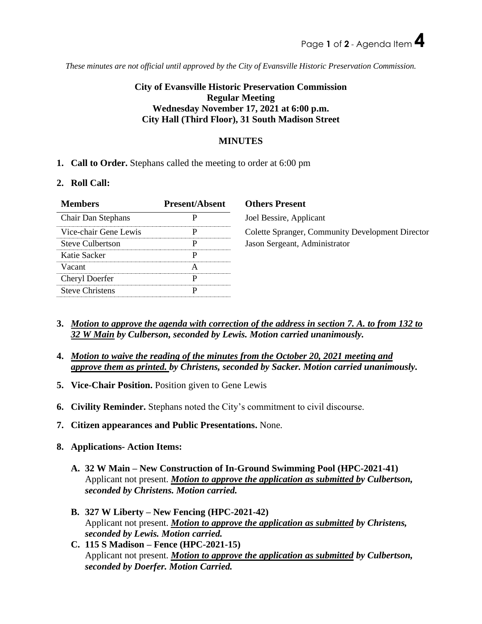*These minutes are not official until approved by the City of Evansville Historic Preservation Commission.*

# **City of Evansville Historic Preservation Commission Regular Meeting Wednesday November 17, 2021 at 6:00 p.m. City Hall (Third Floor), 31 South Madison Street**

## **MINUTES**

## **1. Call to Order.** Stephans called the meeting to order at 6:00 pm

### **2. Roll Call:**

| <b>Members</b>         | <b>Present/Absent</b> | <b>Others Present</b> |
|------------------------|-----------------------|-----------------------|
| Chair Dan Stephans     |                       | Joel Bessire, App     |
| Vice-chair Gene Lewis  |                       | Colette Spranger,     |
| Steve Culbertson       |                       | Jason Sergeant, A     |
| Katie Sacker           |                       |                       |
| Vacant                 |                       |                       |
| Cheryl Doerfer         |                       |                       |
| <b>Steve Christens</b> |                       |                       |
|                        |                       |                       |

re, Applicant Ioranger, Community Development Director e ant. Administrator

- **3.** *Motion to approve the agenda with correction of the address in section 7. A. to from 132 to 32 W Main by Culberson, seconded by Lewis. Motion carried unanimously.*
- **4.** *Motion to waive the reading of the minutes from the October 20, 2021 meeting and approve them as printed. by Christens, seconded by Sacker. Motion carried unanimously.*
- **5. Vice-Chair Position.** Position given to Gene Lewis
- **6. Civility Reminder.** Stephans noted the City's commitment to civil discourse.
- **7. Citizen appearances and Public Presentations.** None.
- **8. Applications- Action Items:**
	- **A. 32 W Main – New Construction of In-Ground Swimming Pool (HPC-2021-41)** Applicant not present. *Motion to approve the application as submitted by Culbertson, seconded by Christens. Motion carried.*
	- **B. 327 W Liberty – New Fencing (HPC-2021-42)** Applicant not present. *Motion to approve the application as submitted by Christens, seconded by Lewis. Motion carried.*
	- **C. 115 S Madison – Fence (HPC-2021-15)** Applicant not present. *Motion to approve the application as submitted by Culbertson, seconded by Doerfer. Motion Carried.*